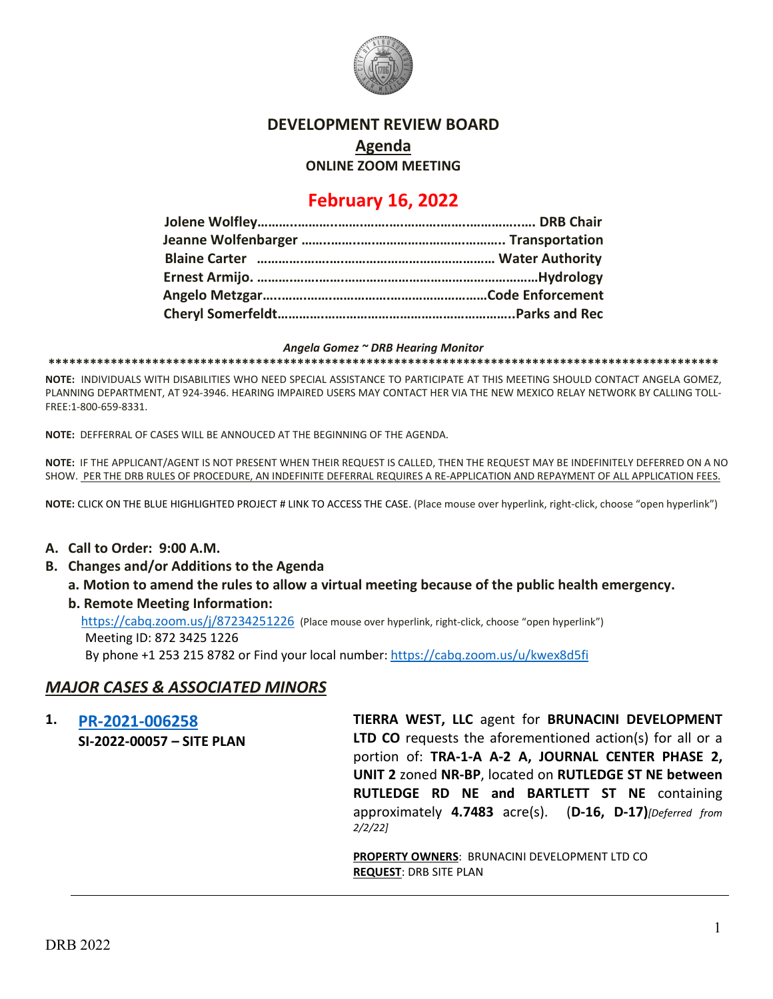

## **DEVELOPMENT REVIEW BOARD**

**Agenda**

**ONLINE ZOOM MEETING**

## **February 16, 2022**

#### *Angela Gomez ~ DRB Hearing Monitor*

**\*\*\*\*\*\*\*\*\*\*\*\*\*\*\*\*\*\*\*\*\*\*\*\*\*\*\*\*\*\*\*\*\*\*\*\*\*\*\*\*\*\*\*\*\*\*\*\*\*\*\*\*\*\*\*\*\*\*\*\*\*\*\*\*\*\*\*\*\*\*\*\*\*\*\*\*\*\*\*\*\*\*\*\*\*\*\*\*\*\*\*\*\*\*\*\*\***

**NOTE:** INDIVIDUALS WITH DISABILITIES WHO NEED SPECIAL ASSISTANCE TO PARTICIPATE AT THIS MEETING SHOULD CONTACT ANGELA GOMEZ, PLANNING DEPARTMENT, AT 924-3946. HEARING IMPAIRED USERS MAY CONTACT HER VIA THE NEW MEXICO RELAY NETWORK BY CALLING TOLL-FREE:1-800-659-8331.

**NOTE:** DEFFERRAL OF CASES WILL BE ANNOUCED AT THE BEGINNING OF THE AGENDA.

**NOTE:** IF THE APPLICANT/AGENT IS NOT PRESENT WHEN THEIR REQUEST IS CALLED, THEN THE REQUEST MAY BE INDEFINITELY DEFERRED ON A NO SHOW. PER THE DRB RULES OF PROCEDURE, AN INDEFINITE DEFERRAL REQUIRES A RE-APPLICATION AND REPAYMENT OF ALL APPLICATION FEES.

**NOTE:** CLICK ON THE BLUE HIGHLIGHTED PROJECT # LINK TO ACCESS THE CASE. (Place mouse over hyperlink, right-click, choose "open hyperlink")

### **A. Call to Order: 9:00 A.M.**

- **B. Changes and/or Additions to the Agenda**
	- **a. Motion to amend the rules to allow a virtual meeting because of the public health emergency.**

#### **b. Remote Meeting Information:**

<https://cabq.zoom.us/j/87234251226> (Place mouse over hyperlink, right-click, choose "open hyperlink") Meeting ID: 872 3425 1226

By phone +1 253 215 8782 or Find your local number[: https://cabq.zoom.us/u/kwex8d5fi](https://cabq.zoom.us/u/kwex8d5fi)

## *MAJOR CASES & ASSOCIATED MINORS*

**1. [PR-2021-006258](http://data.cabq.gov/government/planning/DRB/PR-2021-006258/DRB%20Submittals/PR-2021-006258_February_16_2022_Supp/) SI-2022-00057 – SITE PLAN TIERRA WEST, LLC** agent for **BRUNACINI DEVELOPMENT LTD CO** requests the aforementioned action(s) for all or a portion of: **TRA-1-A A-2 A, JOURNAL CENTER PHASE 2, UNIT 2** zoned **NR-BP**, located on **RUTLEDGE ST NE between RUTLEDGE RD NE and BARTLETT ST NE** containing approximately **4.7483** acre(s). (**D-16, D-17)***[Deferred from 2/2/22]*

> **PROPERTY OWNERS**: BRUNACINI DEVELOPMENT LTD CO **REQUEST**: DRB SITE PLAN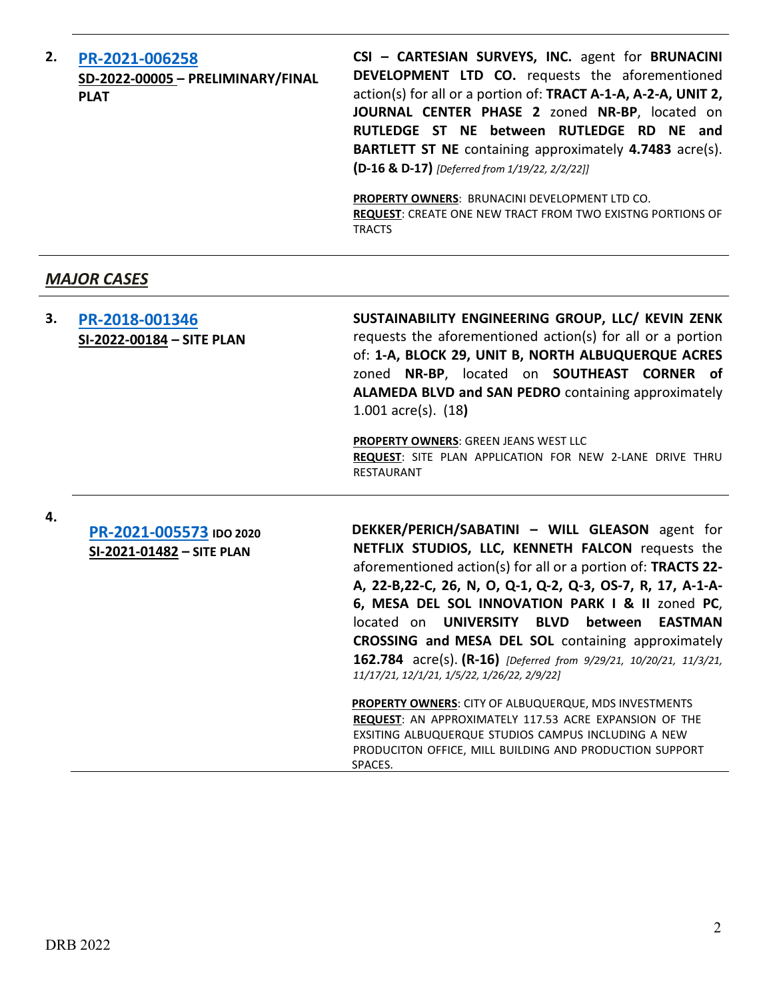| 2. | PR-2021-006258<br>SD-2022-00005 - PRELIMINARY/FINAL<br><b>PLAT</b> | CSI - CARTESIAN SURVEYS, INC. agent for BRUNACINI<br><b>DEVELOPMENT LTD CO.</b> requests the aforementioned<br>action(s) for all or a portion of: TRACT A-1-A, A-2-A, UNIT 2,<br>JOURNAL CENTER PHASE 2 zoned NR-BP, located on<br>RUTLEDGE ST NE between RUTLEDGE RD NE and<br><b>BARTLETT ST NE</b> containing approximately 4.7483 acre(s).<br>(D-16 & D-17) [Deferred from 1/19/22, 2/2/22]] |
|----|--------------------------------------------------------------------|--------------------------------------------------------------------------------------------------------------------------------------------------------------------------------------------------------------------------------------------------------------------------------------------------------------------------------------------------------------------------------------------------|
|    |                                                                    | <b>PROPERTY OWNERS: BRUNACINI DEVELOPMENT LTD CO.</b><br><b>REQUEST:</b> CREATE ONE NEW TRACT FROM TWO EXISTNG PORTIONS OF<br><b>TRACTS</b>                                                                                                                                                                                                                                                      |

## *MAJOR CASES*

| З. | PR-2018-001346<br>SI-2022-00184 - SITE PLAN | SUSTAINABILITY ENGINEERING GROUP, LLC/ KEVIN ZENK<br>requests the aforementioned action(s) for all or a portion<br>of: 1-A, BLOCK 29, UNIT B, NORTH ALBUQUERQUE ACRES<br>zoned NR-BP, located on SOUTHEAST CORNER of<br>ALAMEDA BLVD and SAN PEDRO containing approximately<br>1.001 $\arccos 1.18$ |
|----|---------------------------------------------|-----------------------------------------------------------------------------------------------------------------------------------------------------------------------------------------------------------------------------------------------------------------------------------------------------|
|    |                                             | <b>PROPERTY OWNERS: GREEN JEANS WEST LLC</b><br><b>REQUEST:</b> SITE PLAN APPLICATION FOR NEW 2-LANE DRIVE THRU<br>RESTAURANT                                                                                                                                                                       |

**4.**

**[PR-2021-005573](http://data.cabq.gov/government/planning/DRB/PR-2021-005573/DRB%20Submittals/) IDO 2020 SI-2021-01482 – SITE PLAN**

**DEKKER/PERICH/SABATINI – WILL GLEASON** agent for **NETFLIX STUDIOS, LLC, KENNETH FALCON** requests the aforementioned action(s) for all or a portion of: **TRACTS 22- A, 22-B,22-C, 26, N, O, Q-1, Q-2, Q-3, OS-7, R, 17, A-1-A-6, MESA DEL SOL INNOVATION PARK I & II** zoned **PC**, located on **UNIVERSITY BLVD between EASTMAN CROSSING and MESA DEL SOL** containing approximately **162.784** acre(s). **(R-16)** *[Deferred from 9/29/21, 10/20/21, 11/3/21, 11/17/21, 12/1/21, 1/5/22, 1/26/22, 2/9/22]*

**PROPERTY OWNERS**: CITY OF ALBUQUERQUE, MDS INVESTMENTS **REQUEST**: AN APPROXIMATELY 117.53 ACRE EXPANSION OF THE EXSITING ALBUQUERQUE STUDIOS CAMPUS INCLUDING A NEW PRODUCITON OFFICE, MILL BUILDING AND PRODUCTION SUPPORT SPACES.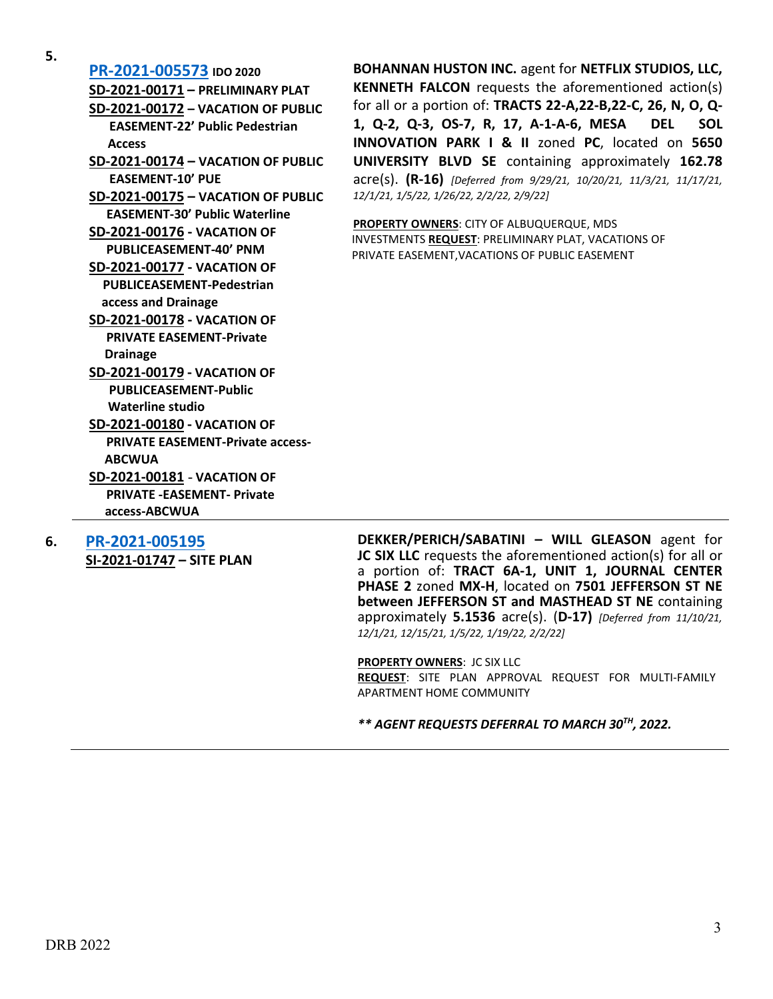**5.**

**[PR-2021-005573](http://data.cabq.gov/government/planning/DRB/PR-2021-005573/DRB%20Submittals/) IDO 2020 SD-2021-00171 – PRELIMINARY PLAT SD-2021-00172 – VACATION OF PUBLIC EASEMENT-22' Public Pedestrian Access SD-2021-00174 – VACATION OF PUBLIC EASEMENT-10' PUE SD-2021-00175 – VACATION OF PUBLIC EASEMENT-30' Public Waterline SD-2021-00176 - VACATION OF PUBLICEASEMENT-40' PNM SD-2021-00177 - VACATION OF PUBLICEASEMENT-Pedestrian access and Drainage SD-2021-00178 - VACATION OF PRIVATE EASEMENT-Private Drainage SD-2021-00179 - VACATION OF PUBLICEASEMENT-Public Waterline studio SD-2021-00180 - VACATION OF PRIVATE EASEMENT-Private access- ABCWUA SD-2021-00181** - **VACATION OF PRIVATE -EASEMENT- Private access-ABCWUA**

**6. [PR-2021-005195](http://data.cabq.gov/government/planning/DRB/PR-2021-005195/DRB%20Submittals/)**

**SI-2021-01747 – SITE PLAN**

**BOHANNAN HUSTON INC.** agent for **NETFLIX STUDIOS, LLC, KENNETH FALCON** requests the aforementioned action(s) for all or a portion of: **TRACTS 22-A,22-B,22-C, 26, N, O, Q-1, Q-2, Q-3, OS-7, R, 17, A-1-A-6, MESA DEL SOL INNOVATION PARK I & II** zoned **PC**, located on **5650 UNIVERSITY BLVD SE** containing approximately **162.78** acre(s). **(R-16)** *[Deferred from 9/29/21, 10/20/21, 11/3/21, 11/17/21, 12/1/21, 1/5/22, 1/26/22, 2/2/22, 2/9/22]*

**PROPERTY OWNERS**: CITY OF ALBUQUERQUE, MDS INVESTMENTS **REQUEST**: PRELIMINARY PLAT, VACATIONS OF PRIVATE EASEMENT,VACATIONS OF PUBLIC EASEMENT

**DEKKER/PERICH/SABATINI – WILL GLEASON** agent for **JC SIX LLC** requests the aforementioned action(s) for all or a portion of: **TRACT 6A-1, UNIT 1, JOURNAL CENTER PHASE 2** zoned **MX-H**, located on **7501 JEFFERSON ST NE between JEFFERSON ST and MASTHEAD ST NE** containing approximately **5.1536** acre(s). (**D-17)** *[Deferred from 11/10/21, 12/1/21, 12/15/21, 1/5/22, 1/19/22, 2/2/22]*

**PROPERTY OWNERS**: JC SIX LLC

**REQUEST**: SITE PLAN APPROVAL REQUEST FOR MULTI-FAMILY APARTMENT HOME COMMUNITY

*\*\* AGENT REQUESTS DEFERRAL TO MARCH 30TH, 2022.*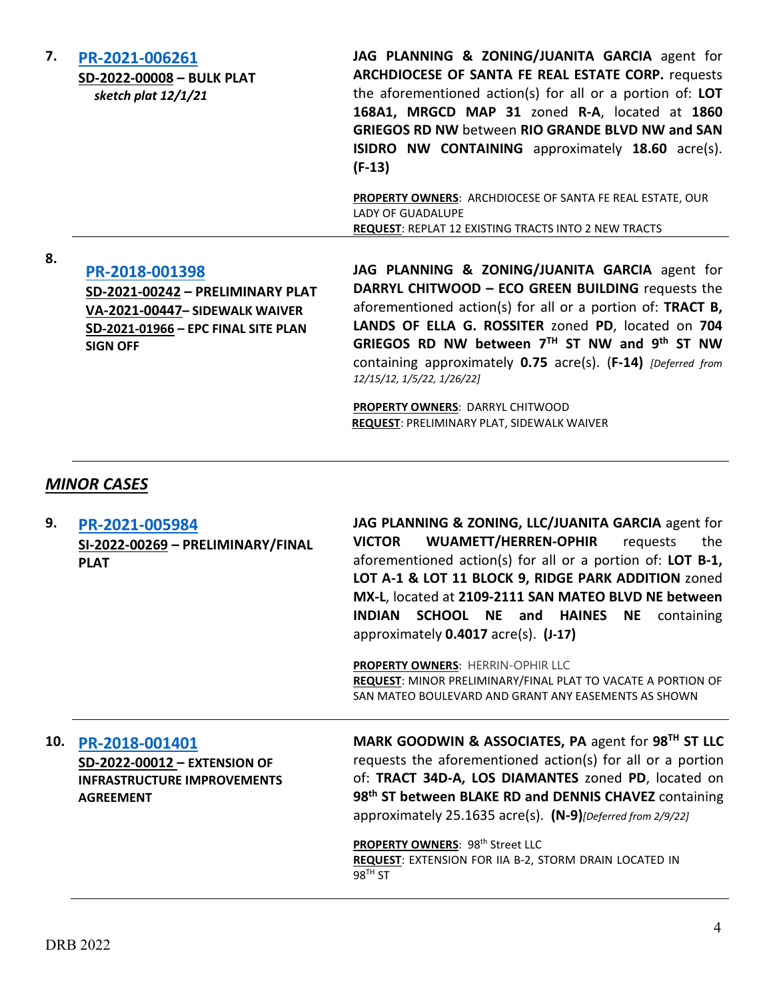| 7.  | PR-2021-006261<br>SD-2022-00008 - BULK PLAT<br>sketch plat 12/1/21                                                                             | JAG PLANNING & ZONING/JUANITA GARCIA agent for<br>ARCHDIOCESE OF SANTA FE REAL ESTATE CORP. requests<br>the aforementioned action(s) for all or a portion of: LOT<br>168A1, MRGCD MAP 31 zoned R-A, located at 1860<br><b>GRIEGOS RD NW between RIO GRANDE BLVD NW and SAN</b><br><b>ISIDRO NW CONTAINING</b> approximately 18.60 acre(s).<br>$(F-13)$<br>PROPERTY OWNERS: ARCHDIOCESE OF SANTA FE REAL ESTATE, OUR<br>LADY OF GUADALUPE<br>REQUEST: REPLAT 12 EXISTING TRACTS INTO 2 NEW TRACTS |
|-----|------------------------------------------------------------------------------------------------------------------------------------------------|--------------------------------------------------------------------------------------------------------------------------------------------------------------------------------------------------------------------------------------------------------------------------------------------------------------------------------------------------------------------------------------------------------------------------------------------------------------------------------------------------|
| 8.  | PR-2018-001398<br>SD-2021-00242 - PRELIMINARY PLAT<br>VA-2021-00447- SIDEWALK WAIVER<br>SD-2021-01966 - EPC FINAL SITE PLAN<br><b>SIGN OFF</b> | JAG PLANNING & ZONING/JUANITA GARCIA agent for<br>DARRYL CHITWOOD - ECO GREEN BUILDING requests the<br>aforementioned action(s) for all or a portion of: TRACT B,<br>LANDS OF ELLA G. ROSSITER zoned PD, located on 704<br>GRIEGOS RD NW between 7TH ST NW and 9th ST NW<br>containing approximately 0.75 acre(s). (F-14) [Deferred from<br>12/15/12, 1/5/22, 1/26/22]<br>PROPERTY OWNERS: DARRYL CHITWOOD<br><b>REQUEST: PRELIMINARY PLAT, SIDEWALK WAIVER</b>                                  |
|     | <b>MINOR CASES</b>                                                                                                                             |                                                                                                                                                                                                                                                                                                                                                                                                                                                                                                  |
| 9.  | PR-2021-005984<br>SI-2022-00269 - PRELIMINARY/FINAL<br><b>PLAT</b>                                                                             | JAG PLANNING & ZONING, LLC/JUANITA GARCIA agent for<br><b>WUAMETT/HERREN-OPHIR</b><br><b>VICTOR</b><br>requests<br>the<br>aforementioned action(s) for all or a portion of: LOT B-1,<br>LOT A-1 & LOT 11 BLOCK 9, RIDGE PARK ADDITION zoned<br>MX-L, located at 2109-2111 SAN MATEO BLVD NE between<br>INDIAN SCHOOL NE and HAINES NE containing<br>approximately $0.4017$ acre(s). $(J-17)$<br>PROPERTY OWNERS: HERRIN-OPHIR LLC                                                                |
|     |                                                                                                                                                | <b>REQUEST:</b> MINOR PRELIMINARY/FINAL PLAT TO VACATE A PORTION OF<br>SAN MATEO BOULEVARD AND GRANT ANY EASEMENTS AS SHOWN                                                                                                                                                                                                                                                                                                                                                                      |
| 10. | PR-2018-001401<br>SD-2022-00012 - EXTENSION OF<br><b>INFRASTRUCTURE IMPROVEMENTS</b><br><b>AGREEMENT</b>                                       | MARK GOODWIN & ASSOCIATES, PA agent for 98 <sup>TH</sup> ST LLC<br>requests the aforementioned action(s) for all or a portion<br>of: TRACT 34D-A, LOS DIAMANTES zoned PD, located on<br>98 <sup>th</sup> ST between BLAKE RD and DENNIS CHAVEZ containing<br>approximately 25.1635 acre(s). (N-9)[Deferred from 2/9/22]<br>PROPERTY OWNERS: 98th Street LLC<br>REQUEST: EXTENSION FOR IIA B-2, STORM DRAIN LOCATED IN<br>$98TH$ ST                                                               |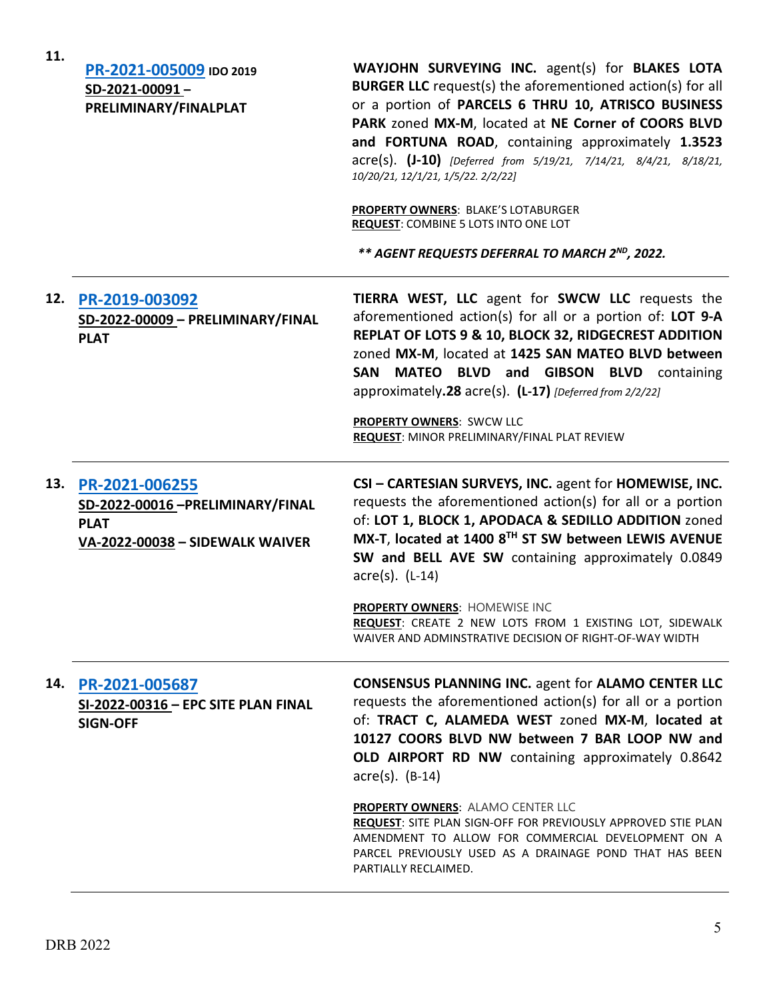| 11. | PR-2021-005009 IDO 2019<br>SD-2021-00091-<br>PRELIMINARY/FINALPLAT                                      | WAYJOHN SURVEYING INC. agent(s) for BLAKES LOTA<br><b>BURGER LLC</b> request(s) the aforementioned action(s) for all<br>or a portion of PARCELS 6 THRU 10, ATRISCO BUSINESS<br>PARK zoned MX-M, located at NE Corner of COORS BLVD<br>and FORTUNA ROAD, containing approximately 1.3523<br>acre(s). (J-10) [Deferred from 5/19/21, 7/14/21, 8/4/21, 8/18/21,<br>10/20/21, 12/1/21, 1/5/22. 2/2/22]<br><b>PROPERTY OWNERS: BLAKE'S LOTABURGER</b><br><b>REQUEST: COMBINE 5 LOTS INTO ONE LOT</b><br>** AGENT REQUESTS DEFERRAL TO MARCH 2 <sup>ND</sup> , 2022. |
|-----|---------------------------------------------------------------------------------------------------------|----------------------------------------------------------------------------------------------------------------------------------------------------------------------------------------------------------------------------------------------------------------------------------------------------------------------------------------------------------------------------------------------------------------------------------------------------------------------------------------------------------------------------------------------------------------|
| 12. | PR-2019-003092<br>SD-2022-00009 - PRELIMINARY/FINAL<br><b>PLAT</b>                                      | TIERRA WEST, LLC agent for SWCW LLC requests the<br>aforementioned action(s) for all or a portion of: LOT 9-A<br>REPLAT OF LOTS 9 & 10, BLOCK 32, RIDGECREST ADDITION<br>zoned MX-M, located at 1425 SAN MATEO BLVD between<br>SAN MATEO BLVD and GIBSON BLVD containing<br>approximately.28 acre(s). (L-17) [Deferred from 2/2/22]<br>PROPERTY OWNERS: SWCW LLC<br>REQUEST: MINOR PRELIMINARY/FINAL PLAT REVIEW                                                                                                                                               |
|     | 13. PR-2021-006255<br>SD-2022-00016-PRELIMINARY/FINAL<br><b>PLAT</b><br>VA-2022-00038 - SIDEWALK WAIVER | CSI - CARTESIAN SURVEYS, INC. agent for HOMEWISE, INC.<br>requests the aforementioned action(s) for all or a portion<br>of: LOT 1, BLOCK 1, APODACA & SEDILLO ADDITION zoned<br>MX-T, located at 1400 8TH ST SW between LEWIS AVENUE<br>SW and BELL AVE SW containing approximately 0.0849<br>$\arccos(5)$ . (L-14)<br>PROPERTY OWNERS: HOMEWISE INC<br>REQUEST: CREATE 2 NEW LOTS FROM 1 EXISTING LOT, SIDEWALK<br>WAIVER AND ADMINSTRATIVE DECISION OF RIGHT-OF-WAY WIDTH                                                                                    |
| 14. | PR-2021-005687<br>SI-2022-00316 - EPC SITE PLAN FINAL<br><b>SIGN-OFF</b>                                | <b>CONSENSUS PLANNING INC. agent for ALAMO CENTER LLC</b><br>requests the aforementioned action(s) for all or a portion<br>of: TRACT C, ALAMEDA WEST zoned MX-M, located at<br>10127 COORS BLVD NW between 7 BAR LOOP NW and<br>OLD AIRPORT RD NW containing approximately 0.8642<br>acre(s). (B-14)<br>PROPERTY OWNERS: ALAMO CENTER LLC<br>REQUEST: SITE PLAN SIGN-OFF FOR PREVIOUSLY APPROVED STIE PLAN                                                                                                                                                     |
|     |                                                                                                         | AMENDMENT TO ALLOW FOR COMMERCIAL DEVELOPMENT ON A<br>PARCEL PREVIOUSLY USED AS A DRAINAGE POND THAT HAS BEEN<br>PARTIALLY RECLAIMED.                                                                                                                                                                                                                                                                                                                                                                                                                          |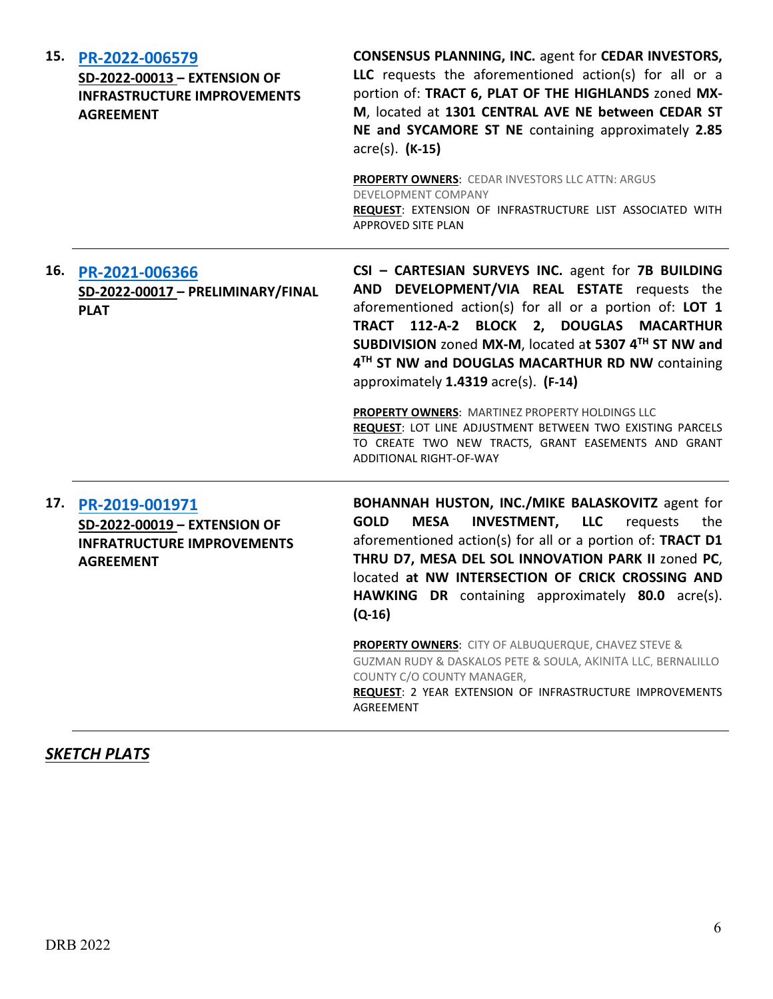| 15. | PR-2022-006579<br>SD-2022-00013 - EXTENSION OF<br><b>INFRASTRUCTURE IMPROVEMENTS</b><br><b>AGREEMENT</b> | <b>CONSENSUS PLANNING, INC. agent for CEDAR INVESTORS,</b><br>LLC requests the aforementioned action(s) for all or a<br>portion of: TRACT 6, PLAT OF THE HIGHLANDS zoned MX-<br>M, located at 1301 CENTRAL AVE NE between CEDAR ST<br>NE and SYCAMORE ST NE containing approximately 2.85<br>$\text{acre}(s)$ . (K-15)<br>PROPERTY OWNERS: CEDAR INVESTORS LLC ATTN: ARGUS<br>DEVELOPMENT COMPANY<br>REQUEST: EXTENSION OF INFRASTRUCTURE LIST ASSOCIATED WITH<br><b>APPROVED SITE PLAN</b>                                                                      |
|-----|----------------------------------------------------------------------------------------------------------|------------------------------------------------------------------------------------------------------------------------------------------------------------------------------------------------------------------------------------------------------------------------------------------------------------------------------------------------------------------------------------------------------------------------------------------------------------------------------------------------------------------------------------------------------------------|
|     | 16. PR-2021-006366<br>SD-2022-00017 - PRELIMINARY/FINAL<br><b>PLAT</b>                                   | CSI - CARTESIAN SURVEYS INC. agent for 7B BUILDING<br>AND DEVELOPMENT/VIA REAL ESTATE requests the<br>aforementioned action(s) for all or a portion of: LOT 1<br>TRACT 112-A-2 BLOCK 2, DOUGLAS MACARTHUR<br>SUBDIVISION zoned MX-M, located at 5307 4TH ST NW and<br>4TH ST NW and DOUGLAS MACARTHUR RD NW containing<br>approximately 1.4319 acre(s). (F-14)<br>PROPERTY OWNERS: MARTINEZ PROPERTY HOLDINGS LLC<br>REQUEST: LOT LINE ADJUSTMENT BETWEEN TWO EXISTING PARCELS<br>TO CREATE TWO NEW TRACTS, GRANT EASEMENTS AND GRANT<br>ADDITIONAL RIGHT-OF-WAY |
| 17. | PR-2019-001971<br>SD-2022-00019 - EXTENSION OF<br><b>INFRATRUCTURE IMPROVEMENTS</b><br><b>AGREEMENT</b>  | BOHANNAH HUSTON, INC./MIKE BALASKOVITZ agent for<br>INVESTMENT, LLC<br><b>GOLD</b><br><b>MESA</b><br>requests<br>the<br>aforementioned action(s) for all or a portion of: TRACT D1<br>THRU D7, MESA DEL SOL INNOVATION PARK II zoned PC,<br>located at NW INTERSECTION OF CRICK CROSSING AND<br>HAWKING DR containing approximately 80.0 acre(s).<br>$(Q-16)$                                                                                                                                                                                                    |
|     |                                                                                                          | <b>PROPERTY OWNERS:</b> CITY OF ALBUQUERQUE, CHAVEZ STEVE &<br>GUZMAN RUDY & DASKALOS PETE & SOULA, AKINITA LLC, BERNALILLO<br>COUNTY C/O COUNTY MANAGER,<br>REQUEST: 2 YEAR EXTENSION OF INFRASTRUCTURE IMPROVEMENTS<br>AGREEMENT                                                                                                                                                                                                                                                                                                                               |

# *SKETCH PLATS*